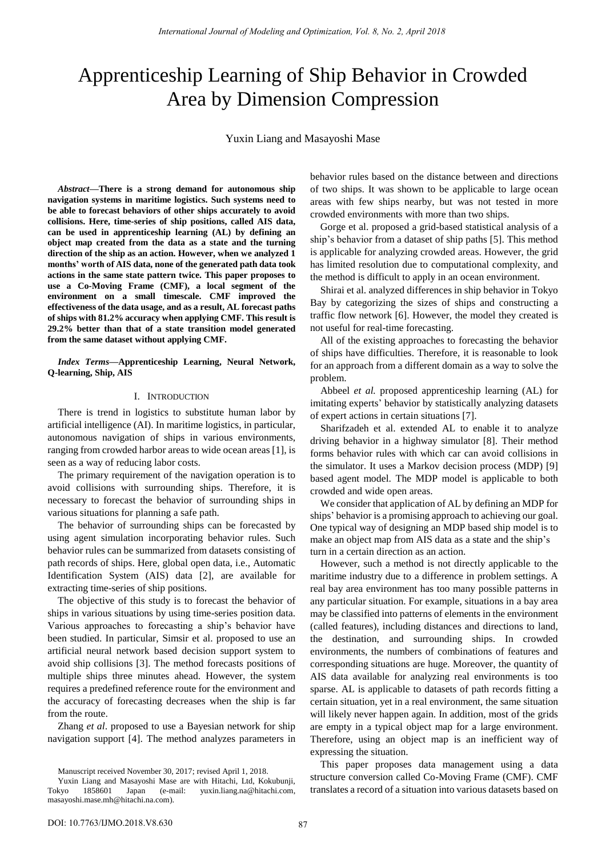# Apprenticeship Learning of Ship Behavior in Crowded Area by Dimension Compression

Yuxin Liang and Masayoshi Mase

*Abstract***—There is a strong demand for autonomous ship navigation systems in maritime logistics. Such systems need to be able to forecast behaviors of other ships accurately to avoid collisions. Here, time-series of ship positions, called AIS data, can be used in apprenticeship learning (AL) by defining an object map created from the data as a state and the turning direction of the ship as an action. However, when we analyzed 1 months' worth of AIS data, none of the generated path data took actions in the same state pattern twice. This paper proposes to use a Co-Moving Frame (CMF), a local segment of the environment on a small timescale. CMF improved the effectiveness of the data usage, and as a result, AL forecast paths of ships with 81.2% accuracy when applying CMF. This result is 29.2% better than that of a state transition model generated from the same dataset without applying CMF.** 

*Index Terms***—Apprenticeship Learning, Neural Network, Q-learning, Ship, AIS** 

#### I. INTRODUCTION

There is trend in logistics to substitute human labor by artificial intelligence (AI). In maritime logistics, in particular, autonomous navigation of ships in various environments, ranging from crowded harbor areas to wide ocean areas [1], is seen as a way of reducing labor costs.

The primary requirement of the navigation operation is to avoid collisions with surrounding ships. Therefore, it is necessary to forecast the behavior of surrounding ships in various situations for planning a safe path.

The behavior of surrounding ships can be forecasted by using agent simulation incorporating behavior rules. Such behavior rules can be summarized from datasets consisting of path records of ships. Here, global open data, i.e., Automatic Identification System (AIS) data [2], are available for extracting time-series of ship positions.

The objective of this study is to forecast the behavior of ships in various situations by using time-series position data. Various approaches to forecasting a ship's behavior have been studied. In particular, Simsir et al. proposed to use an artificial neural network based decision support system to avoid ship collisions [3]. The method forecasts positions of multiple ships three minutes ahead. However, the system requires a predefined reference route for the environment and the accuracy of forecasting decreases when the ship is far from the route.

Zhang *et al*. proposed to use a Bayesian network for ship navigation support [4]. The method analyzes parameters in

Manuscript received November 30, 2017; revised April 1, 2018.

behavior rules based on the distance between and directions of two ships. It was shown to be applicable to large ocean areas with few ships nearby, but was not tested in more crowded environments with more than two ships.

Gorge et al. proposed a grid-based statistical analysis of a ship's behavior from a dataset of ship paths [5]. This method is applicable for analyzing crowded areas. However, the grid has limited resolution due to computational complexity, and the method is difficult to apply in an ocean environment.

Shirai et al. analyzed differences in ship behavior in Tokyo Bay by categorizing the sizes of ships and constructing a traffic flow network [6]. However, the model they created is not useful for real-time forecasting.

All of the existing approaches to forecasting the behavior of ships have difficulties. Therefore, it is reasonable to look for an approach from a different domain as a way to solve the problem.

Abbeel *et al.* proposed apprenticeship learning (AL) for imitating experts' behavior by statistically analyzing datasets of expert actions in certain situations [7].

Sharifzadeh et al. extended AL to enable it to analyze driving behavior in a highway simulator [8]. Their method forms behavior rules with which car can avoid collisions in the simulator. It uses a Markov decision process (MDP) [9] based agent model. The MDP model is applicable to both crowded and wide open areas.

We consider that application of AL by defining an MDP for ships' behavior is a promising approach to achieving our goal. One typical way of designing an MDP based ship model is to make an object map from AIS data as a state and the ship's turn in a certain direction as an action.

However, such a method is not directly applicable to the maritime industry due to a difference in problem settings. A real bay area environment has too many possible patterns in any particular situation. For example, situations in a bay area may be classified into patterns of elements in the environment (called features), including distances and directions to land, the destination, and surrounding ships. In crowded environments, the numbers of combinations of features and corresponding situations are huge. Moreover, the quantity of AIS data available for analyzing real environments is too sparse. AL is applicable to datasets of path records fitting a certain situation, yet in a real environment, the same situation will likely never happen again. In addition, most of the grids are empty in a typical object map for a large environment. Therefore, using an object map is an inefficient way of expressing the situation.

This paper proposes data management using a data structure conversion called Co-Moving Frame (CMF). CMF translates a record of a situation into various datasets based on

Yuxin Liang and Masayoshi Mase are with Hitachi, Ltd, Kokubunji, Tokyo 1858601 Japan (e-mail: yuxin.liang.na@hitachi.com, masayoshi.mase.mh@hitachi.na.com).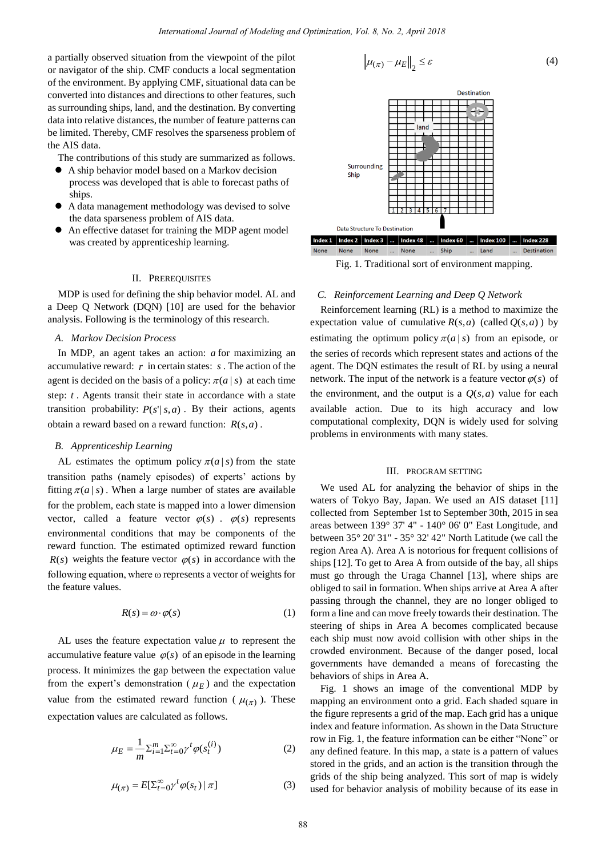a partially observed situation from the viewpoint of the pilot or navigator of the ship. CMF conducts a local segmentation of the environment. By applying CMF, situational data can be converted into distances and directions to other features, such as surrounding ships, land, and the destination. By converting data into relative distances, the number of feature patterns can be limited. Thereby, CMF resolves the sparseness problem of the AIS data.

The contributions of this study are summarized as follows.

- A ship behavior model based on a Markov decision process was developed that is able to forecast paths of ships.
- A data management methodology was devised to solve the data sparseness problem of AIS data.
- An effective dataset for training the MDP agent model was created by apprenticeship learning.

#### II. PREREQUISITES

MDP is used for defining the ship behavior model. AL and a Deep Q Network (DQN) [10] are used for the behavior analysis. Following is the terminology of this research.

## *A. Markov Decision Process*

In MDP, an agent takes an action: *a* for maximizing an accumulative reward: *r* in certain states: *s* . The action of the agent is decided on the basis of a policy:  $\pi(a | s)$  at each time step: *t* . Agents transit their state in accordance with a state transition probability:  $P(s' | s, a)$ . By their actions, agents obtain a reward based on a reward function:  $R(s, a)$ .

# *B. Apprenticeship Learning*

AL estimates the optimum policy  $\pi(a|s)$  from the state transition paths (namely episodes) of experts' actions by fitting  $\pi(a | s)$ . When a large number of states are available for the problem, each state is mapped into a lower dimension vector, called a feature vector  $\varphi(s)$ .  $\varphi(s)$  represents environmental conditions that may be components of the reward function. The estimated optimized reward function  $R(s)$  weights the feature vector  $\varphi(s)$  in accordance with the following equation, where ω represents a vector of weights for the feature values.

$$
R(s) = \omega \cdot \varphi(s) \tag{1}
$$

AL uses the feature expectation value  $\mu$  to represent the accumulative feature value  $\varphi(s)$  of an episode in the learning process. It minimizes the gap between the expectation value from the expert's demonstration ( $\mu_E$ ) and the expectation value from the estimated reward function ( $\mu_{(\pi)}$ ). These expectation values are calculated as follows.

$$
\mu_E = \frac{1}{m} \sum_{i=1}^m \sum_{t=0}^\infty \gamma^t \varphi(s_t^{(i)})
$$
\n(2)

$$
\mu_{(\pi)} = E[\Sigma_{t=0}^{\infty} \gamma^t \varphi(s_t) | \pi]
$$
\n(3)

$$
\left\| \mu_{(\pi)} - \mu_E \right\|_2 \le \varepsilon \tag{4}
$$



Fig. 1. Traditional sort of environment mapping.

### *C. Reinforcement Learning and Deep Q Network*

Reinforcement learning (RL) is a method to maximize the expectation value of cumulative  $R(s, a)$  (called  $Q(s, a)$ ) by estimating the optimum policy  $\pi(a|s)$  from an episode, or the series of records which represent states and actions of the agent. The DQN estimates the result of RL by using a neural network. The input of the network is a feature vector  $\varphi(s)$  of the environment, and the output is a  $Q(s, a)$  value for each available action. Due to its high accuracy and low computational complexity, DQN is widely used for solving problems in environments with many states.

## III. PROGRAM SETTING

We used AL for analyzing the behavior of ships in the waters of Tokyo Bay, Japan. We used an AIS dataset [11] collected from September 1st to September 30th, 2015 in sea areas between 139° 37' 4" - 140° 06' 0" East Longitude, and between 35° 20' 31" - 35° 32' 42" North Latitude (we call the region Area A). Area A is notorious for frequent collisions of ships [12]. To get to Area A from outside of the bay, all ships must go through the Uraga Channel [13], where ships are obliged to sail in formation. When ships arrive at Area A after passing through the channel, they are no longer obliged to form a line and can move freely towards their destination. The steering of ships in Area A becomes complicated because each ship must now avoid collision with other ships in the crowded environment. Because of the danger posed, local governments have demanded a means of forecasting the behaviors of ships in Area A.

Fig. 1 shows an image of the conventional MDP by mapping an environment onto a grid. Each shaded square in the figure represents a grid of the map. Each grid has a unique index and feature information. As shown in the Data Structure row in Fig. 1, the feature information can be either "None" or any defined feature. In this map, a state is a pattern of values stored in the grids, and an action is the transition through the grids of the ship being analyzed. This sort of map is widely used for behavior analysis of mobility because of its ease in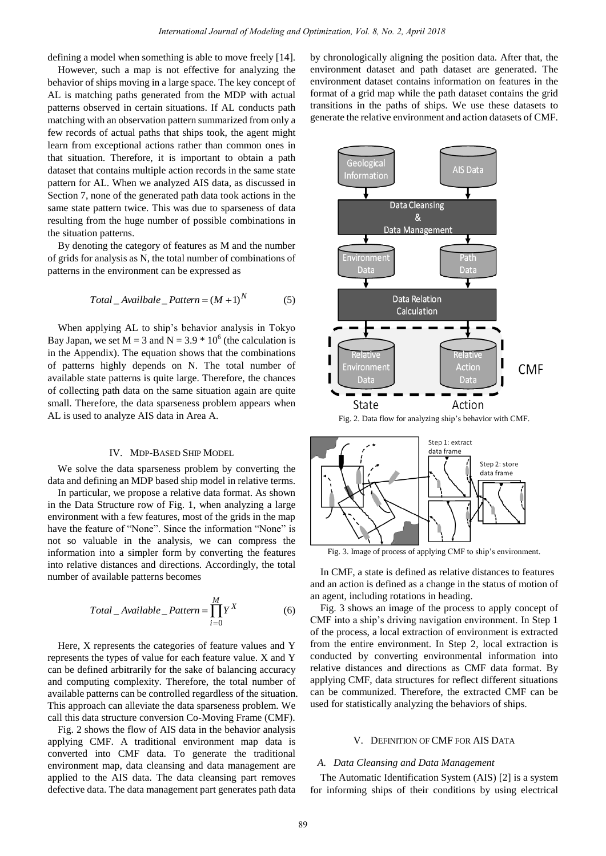defining a model when something is able to move freely [14].

However, such a map is not effective for analyzing the behavior of ships moving in a large space. The key concept of AL is matching paths generated from the MDP with actual patterns observed in certain situations. If AL conducts path matching with an observation pattern summarized from only a few records of actual paths that ships took, the agent might learn from exceptional actions rather than common ones in that situation. Therefore, it is important to obtain a path dataset that contains multiple action records in the same state pattern for AL. When we analyzed AIS data, as discussed in Section 7, none of the generated path data took actions in the same state pattern twice. This was due to sparseness of data resulting from the huge number of possible combinations in the situation patterns.

By denoting the category of features as M and the number of grids for analysis as N, the total number of combinations of patterns in the environment can be expressed as

$$
Total\_Available\_Pattern = (M + 1)^{N}
$$
 (5)

When applying AL to ship's behavior analysis in Tokyo Bay Japan, we set  $M = 3$  and  $N = 3.9 * 10^6$  (the calculation is in the Appendix). The equation shows that the combinations of patterns highly depends on N. The total number of available state patterns is quite large. Therefore, the chances of collecting path data on the same situation again are quite small. Therefore, the data sparseness problem appears when AL is used to analyze AIS data in Area A.

#### IV. MDP-BASED SHIP MODEL

We solve the data sparseness problem by converting the data and defining an MDP based ship model in relative terms.

In particular, we propose a relative data format. As shown in the Data Structure row of Fig. 1, when analyzing a large environment with a few features, most of the grids in the map have the feature of "None". Since the information "None" is not so valuable in the analysis, we can compress the information into a simpler form by converting the features into relative distances and directions. Accordingly, the total number of available patterns becomes

$$
Total\_Available\_Pattern = \prod_{i=0}^{M} Y^X
$$
 (6)

Here, X represents the categories of feature values and Y represents the types of value for each feature value. X and Y can be defined arbitrarily for the sake of balancing accuracy and computing complexity. Therefore, the total number of available patterns can be controlled regardless of the situation. This approach can alleviate the data sparseness problem. We call this data structure conversion Co-Moving Frame (CMF).

Fig. 2 shows the flow of AIS data in the behavior analysis applying CMF. A traditional environment map data is converted into CMF data. To generate the traditional environment map, data cleansing and data management are applied to the AIS data. The data cleansing part removes defective data. The data management part generates path data by chronologically aligning the position data. After that, the environment dataset and path dataset are generated. The environment dataset contains information on features in the format of a grid map while the path dataset contains the grid transitions in the paths of ships. We use these datasets to generate the relative environment and action datasets of CMF.



Fig. 2. Data flow for analyzing ship's behavior with CMF.



Fig. 3. Image of process of applying CMF to ship's environment.

In CMF, a state is defined as relative distances to features and an action is defined as a change in the status of motion of an agent, including rotations in heading.

Fig. 3 shows an image of the process to apply concept of CMF into a ship's driving navigation environment. In Step 1 of the process, a local extraction of environment is extracted from the entire environment. In Step 2, local extraction is conducted by converting environmental information into relative distances and directions as CMF data format. By applying CMF, data structures for reflect different situations can be communized. Therefore, the extracted CMF can be used for statistically analyzing the behaviors of ships.

# V. DEFINITION OF CMF FOR AIS DATA

#### *A. Data Cleansing and Data Management*

The Automatic Identification System (AIS) [2] is a system for informing ships of their conditions by using electrical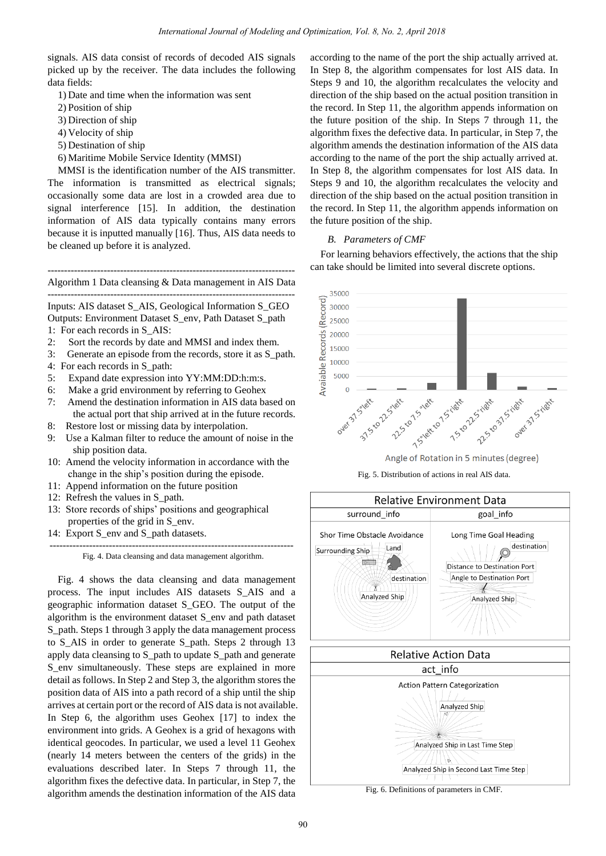signals. AIS data consist of records of decoded AIS signals picked up by the receiver. The data includes the following data fields:

- 1) Date and time when the information was sent
- 2) Position of ship
- 3) Direction of ship
- 4) Velocity of ship
- 5) Destination of ship
- 6) Maritime Mobile Service Identity (MMSI)

MMSI is the identification number of the AIS transmitter. The information is transmitted as electrical signals; occasionally some data are lost in a crowded area due to signal interference [15]. In addition, the destination information of AIS data typically contains many errors because it is inputted manually [16]. Thus, AIS data needs to be cleaned up before it is analyzed.

--------------------------------------------------------------------------- Algorithm 1 Data cleansing & Data management in AIS Data ---------------------------------------------------------------------------

Inputs: AIS dataset S\_AIS, Geological Information S\_GEO Outputs: Environment Dataset S\_env, Path Dataset S\_path

- 1: For each records in S\_AIS:
- 2: Sort the records by date and MMSI and index them.
- 3: Generate an episode from the records, store it as S\_path.
- 4: For each records in S\_path:
- 5: Expand date expression into YY:MM:DD:h:m:s.
- 6: Make a grid environment by referring to Geohex
- 7: Amend the destination information in AIS data based on the actual port that ship arrived at in the future records.
- 8: Restore lost or missing data by interpolation.
- 9: Use a Kalman filter to reduce the amount of noise in the ship position data.
- 10: Amend the velocity information in accordance with the change in the ship's position during the episode.
- 11: Append information on the future position
- 12: Refresh the values in S\_path.
- 13: Store records of ships' positions and geographical properties of the grid in S\_env.
- 14: Export S env and S path datasets.

-------------------------------------------------------------------------- Fig. 4. Data cleansing and data management algorithm.

Fig. 4 shows the data cleansing and data management process. The input includes AIS datasets S\_AIS and a geographic information dataset S\_GEO. The output of the algorithm is the environment dataset S\_env and path dataset S path. Steps 1 through 3 apply the data management process to S\_AIS in order to generate S\_path. Steps 2 through 13 apply data cleansing to S\_path to update S\_path and generate S env simultaneously. These steps are explained in more detail as follows. In Step 2 and Step 3, the algorithm stores the position data of AIS into a path record of a ship until the ship arrives at certain port or the record of AIS data is not available. In Step 6, the algorithm uses Geohex [17] to index the environment into grids. A Geohex is a grid of hexagons with identical geocodes. In particular, we used a level 11 Geohex (nearly 14 meters between the centers of the grids) in the evaluations described later. In Steps 7 through 11, the algorithm fixes the defective data. In particular, in Step 7, the algorithm amends the destination information of the AIS data

according to the name of the port the ship actually arrived at. In Step 8, the algorithm compensates for lost AIS data. In Steps 9 and 10, the algorithm recalculates the velocity and direction of the ship based on the actual position transition in the record. In Step 11, the algorithm appends information on the future position of the ship. In Steps 7 through 11, the algorithm fixes the defective data. In particular, in Step 7, the algorithm amends the destination information of the AIS data according to the name of the port the ship actually arrived at. In Step 8, the algorithm compensates for lost AIS data. In Steps 9 and 10, the algorithm recalculates the velocity and direction of the ship based on the actual position transition in the record. In Step 11, the algorithm appends information on the future position of the ship.

## *B. Parameters of CMF*

For learning behaviors effectively, the actions that the ship can take should be limited into several discrete options.











Analyzed Ship in Second Last Time Step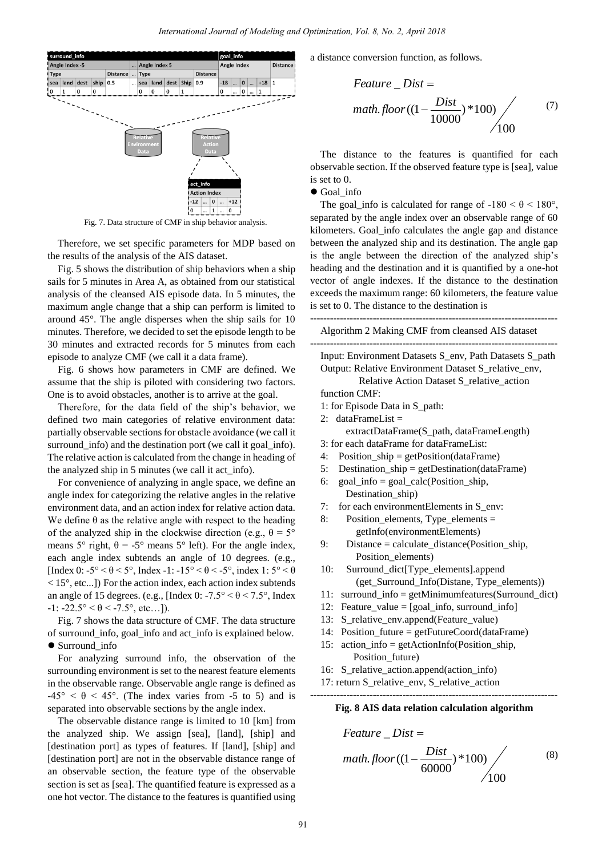

Fig. 7. Data structure of CMF in ship behavior analysis.

Therefore, we set specific parameters for MDP based on the results of the analysis of the AIS dataset.

Fig. 5 shows the distribution of ship behaviors when a ship sails for 5 minutes in Area A, as obtained from our statistical analysis of the cleansed AIS episode data. In 5 minutes, the maximum angle change that a ship can perform is limited to around 45°. The angle disperses when the ship sails for 10 minutes. Therefore, we decided to set the episode length to be 30 minutes and extracted records for 5 minutes from each episode to analyze CMF (we call it a data frame).

Fig. 6 shows how parameters in CMF are defined. We assume that the ship is piloted with considering two factors. One is to avoid obstacles, another is to arrive at the goal.

Therefore, for the data field of the ship's behavior, we defined two main categories of relative environment data: partially observable sections for obstacle avoidance (we call it surround info) and the destination port (we call it goal info). The relative action is calculated from the change in heading of the analyzed ship in 5 minutes (we call it act\_info).

For convenience of analyzing in angle space, we define an angle index for categorizing the relative angles in the relative environment data, and an action index for relative action data. We define  $\theta$  as the relative angle with respect to the heading of the analyzed ship in the clockwise direction (e.g.,  $\theta = 5^{\circ}$ means  $5^{\circ}$  right,  $\theta = -5^{\circ}$  means  $5^{\circ}$  left). For the angle index, each angle index subtends an angle of 10 degrees. (e.g., [Index 0: -5° <  $\theta$  < 5°, Index -1: -15° <  $\theta$  < -5°, index 1: 5° <  $\theta$ < 15°, etc...]) For the action index, each action index subtends an angle of 15 degrees. (e.g., [Index 0:  $-7.5^{\circ} < \theta < 7.5^{\circ}$ ] Index  $-1: -22.5^{\circ} < \theta < -7.5^{\circ}$ , etc...]).

Fig. 7 shows the data structure of CMF. The data structure of surround\_info, goal\_info and act\_info is explained below. ● Surround\_info

For analyzing surround info, the observation of the surrounding environment is set to the nearest feature elements in the observable range. Observable angle range is defined as  $-45^{\circ} < \theta < 45^{\circ}$ . (The index varies from -5 to 5) and is separated into observable sections by the angle index.

The observable distance range is limited to 10 [km] from the analyzed ship. We assign [sea], [land], [ship] and [destination port] as types of features. If [land], [ship] and [destination port] are not in the observable distance range of an observable section, the feature type of the observable section is set as [sea]. The quantified feature is expressed as a one hot vector. The distance to the features is quantified using a distance conversion function, as follows.

$$
Feature\_Dist =
$$
  

$$
math.floor((- \frac{Dist}{10000}) * 100)
$$
 (7) (7)

The distance to the features is quantified for each observable section. If the observed feature type is [sea], value is set to 0.

## Goal\_info

The goal info is calculated for range of  $-180 < \theta < 180^\circ$ , separated by the angle index over an observable range of 60 kilometers. Goal\_info calculates the angle gap and distance between the analyzed ship and its destination. The angle gap is the angle between the direction of the analyzed ship's heading and the destination and it is quantified by a one-hot vector of angle indexes. If the distance to the destination exceeds the maximum range: 60 kilometers, the feature value is set to 0. The distance to the destination is

--------------------------------------------------------------------------- Algorithm 2 Making CMF from cleansed AIS dataset --------------------------------------------------------------------------- Input: Environment Datasets S\_env, Path Datasets S\_path Output: Relative Environment Dataset S\_relative\_env, Relative Action Dataset S\_relative\_action function CMF: 1: for Episode Data in S\_path: 2: dataFrameList =

extractDataFrame(S\_path, dataFrameLength)

- 3: for each dataFrame for dataFrameList:
- 4: Position\_ship = getPosition(dataFrame)
- 5: Destination\_ship = getDestination(dataFrame)
- 6: goal\_info = goal\_calc(Position\_ship, Destination\_ship)
- 7: for each environmentElements in S\_env:
- 8: Position elements, Type elements  $=$ getInfo(environmentElements)
- 9: Distance = calculate distance(Position ship, Position\_elements)
- 10: Surround\_dict[Type\_elements].append (get\_Surround\_Info(Distane, Type\_elements))
- 11: surround\_info = getMinimumfeatures(Surround\_dict)
- 12: Feature value =  $[goal\ info, surround\ info]$
- 13: S relative env.append(Feature value)
- 14: Position\_future = getFutureCoord(dataFrame)
- 15: action info = getActionInfo(Position ship, Position\_future)
- 16: S relative action.append(action info)
- 17: return S\_relative\_env, S\_relative\_action

# --------------------------------------------------------------------------- **Fig. 8 AIS data relation calculation algorithm**

$$
Feature\_Dist =
$$
  

$$
math, floor((1 - \frac{Dist}{60000}) * 100)
$$
 (8)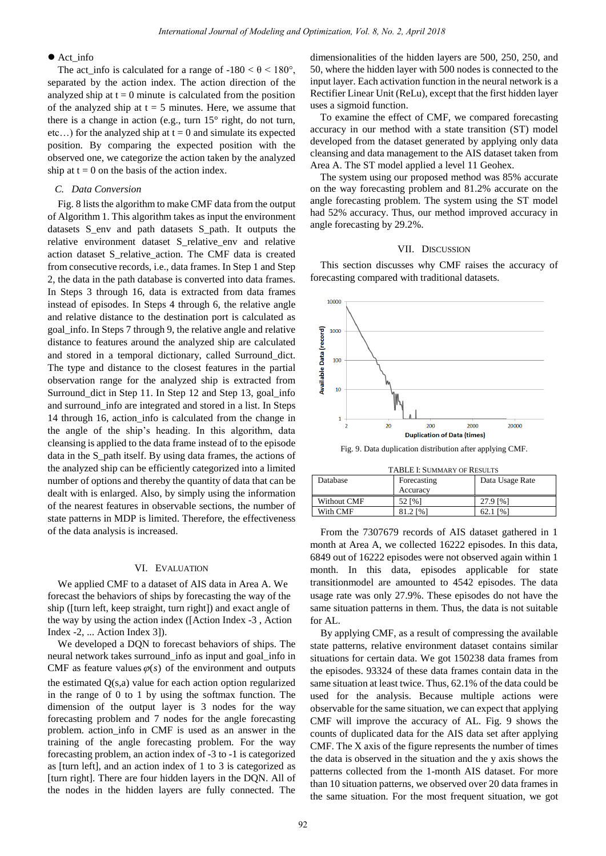## $\bullet$  Act info

The act\_info is calculated for a range of  $-180 < \theta < 180^{\circ}$ , separated by the action index. The action direction of the analyzed ship at  $t = 0$  minute is calculated from the position of the analyzed ship at  $t = 5$  minutes. Here, we assume that there is a change in action (e.g., turn  $15^{\circ}$  right, do not turn, etc...) for the analyzed ship at  $t = 0$  and simulate its expected position. By comparing the expected position with the observed one, we categorize the action taken by the analyzed ship at  $t = 0$  on the basis of the action index.

#### *C. Data Conversion*

Fig. 8 lists the algorithm to make CMF data from the output of Algorithm 1. This algorithm takes as input the environment datasets S env and path datasets S path. It outputs the relative environment dataset S\_relative\_env and relative action dataset S\_relative\_action. The CMF data is created from consecutive records, i.e., data frames. In Step 1 and Step 2, the data in the path database is converted into data frames. In Steps 3 through 16, data is extracted from data frames instead of episodes. In Steps 4 through 6, the relative angle and relative distance to the destination port is calculated as goal\_info. In Steps 7 through 9, the relative angle and relative distance to features around the analyzed ship are calculated and stored in a temporal dictionary, called Surround\_dict. The type and distance to the closest features in the partial observation range for the analyzed ship is extracted from Surround\_dict in Step 11. In Step 12 and Step 13, goal\_info and surround\_info are integrated and stored in a list. In Steps 14 through 16, action info is calculated from the change in the angle of the ship's heading. In this algorithm, data cleansing is applied to the data frame instead of to the episode data in the S\_path itself. By using data frames, the actions of the analyzed ship can be efficiently categorized into a limited number of options and thereby the quantity of data that can be dealt with is enlarged. Also, by simply using the information of the nearest features in observable sections, the number of state patterns in MDP is limited. Therefore, the effectiveness of the data analysis is increased.

## VI. EVALUATION

We applied CMF to a dataset of AIS data in Area A. We forecast the behaviors of ships by forecasting the way of the ship ([turn left, keep straight, turn right]) and exact angle of the way by using the action index ([Action Index -3 , Action Index -2, ... Action Index 3]).

We developed a DQN to forecast behaviors of ships. The neural network takes surround\_info as input and goal\_info in CMF as feature values  $\varphi(s)$  of the environment and outputs the estimated Q(s,a) value for each action option regularized in the range of 0 to 1 by using the softmax function. The dimension of the output layer is 3 nodes for the way forecasting problem and 7 nodes for the angle forecasting problem. action\_info in CMF is used as an answer in the training of the angle forecasting problem. For the way forecasting problem, an action index of -3 to -1 is categorized as [turn left], and an action index of 1 to 3 is categorized as [turn right]. There are four hidden layers in the DQN. All of the nodes in the hidden layers are fully connected. The

dimensionalities of the hidden layers are 500, 250, 250, and 50, where the hidden layer with 500 nodes is connected to the input layer. Each activation function in the neural network is a Rectifier Linear Unit (ReLu), except that the first hidden layer uses a sigmoid function.

To examine the effect of CMF, we compared forecasting accuracy in our method with a state transition (ST) model developed from the dataset generated by applying only data cleansing and data management to the AIS dataset taken from Area A. The ST model applied a level 11 Geohex.

The system using our proposed method was 85% accurate on the way forecasting problem and 81.2% accurate on the angle forecasting problem. The system using the ST model had 52% accuracy. Thus, our method improved accuracy in angle forecasting by 29.2%.

# VII. DISCUSSION

This section discusses why CMF raises the accuracy of forecasting compared with traditional datasets.



Fig. 9. Data duplication distribution after applying CMF.

| <b>TABLE I: SUMMARY OF RESULTS</b> |             |                 |
|------------------------------------|-------------|-----------------|
| Database                           | Forecasting | Data Usage Rate |
|                                    | Accuracy    |                 |
| Without CMF                        | 52 [%]      | 27.9 [%]        |
| With CMF                           | 81.2 [%]    | 62.1 [%]        |

From the 7307679 records of AIS dataset gathered in 1 month at Area A, we collected 16222 episodes. In this data, 6849 out of 16222 episodes were not observed again within 1 month. In this data, episodes applicable for state transitionmodel are amounted to 4542 episodes. The data usage rate was only 27.9%. These episodes do not have the same situation patterns in them. Thus, the data is not suitable for AL.

By applying CMF, as a result of compressing the available state patterns, relative environment dataset contains similar situations for certain data. We got 150238 data frames from the episodes. 93324 of these data frames contain data in the same situation at least twice. Thus, 62.1% of the data could be used for the analysis. Because multiple actions were observable for the same situation, we can expect that applying CMF will improve the accuracy of AL. Fig. 9 shows the counts of duplicated data for the AIS data set after applying CMF. The X axis of the figure represents the number of times the data is observed in the situation and the y axis shows the patterns collected from the 1-month AIS dataset. For more than 10 situation patterns, we observed over 20 data frames in the same situation. For the most frequent situation, we got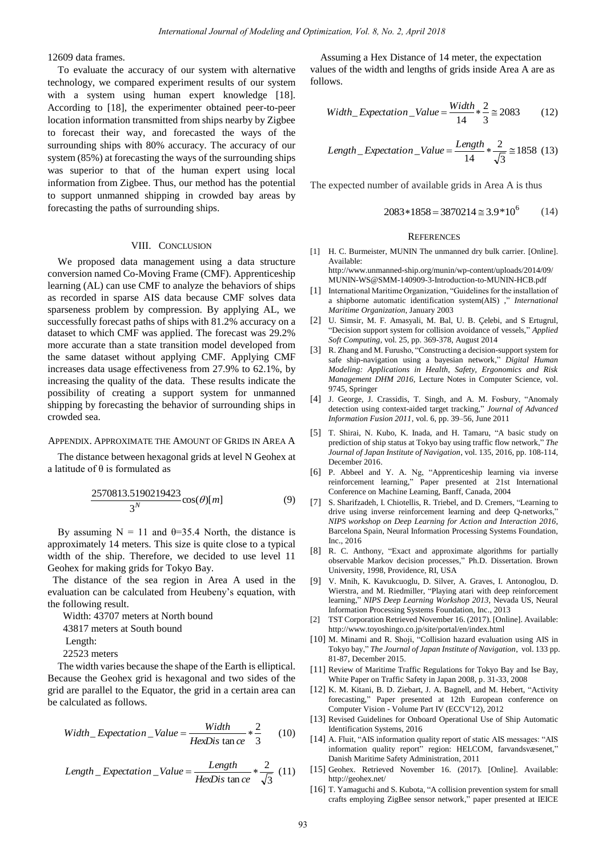12609 data frames.

To evaluate the accuracy of our system with alternative technology, we compared experiment results of our system with a system using human expert knowledge [18]. According to [18], the experimenter obtained peer-to-peer location information transmitted from ships nearby by Zigbee to forecast their way, and forecasted the ways of the surrounding ships with 80% accuracy. The accuracy of our system (85%) at forecasting the ways of the surrounding ships was superior to that of the human expert using local information from Zigbee. Thus, our method has the potential to support unmanned shipping in crowded bay areas by forecasting the paths of surrounding ships.

#### VIII. CONCLUSION

We proposed data management using a data structure conversion named Co-Moving Frame (CMF). Apprenticeship learning (AL) can use CMF to analyze the behaviors of ships as recorded in sparse AIS data because CMF solves data sparseness problem by compression. By applying AL, we successfully forecast paths of ships with 81.2% accuracy on a dataset to which CMF was applied. The forecast was 29.2% more accurate than a state transition model developed from the same dataset without applying CMF. Applying CMF increases data usage effectiveness from 27.9% to 62.1%, by increasing the quality of the data. These results indicate the possibility of creating a support system for unmanned shipping by forecasting the behavior of surrounding ships in crowded sea.

## APPENDIX. APPROXIMATE THE AMOUNT OF GRIDS IN AREA A

The distance between hexagonal grids at level N Geohex at a latitude of  $\theta$  is formulated as

$$
\frac{2570813.5190219423}{3^N}\cos(\theta)[m] \tag{9}
$$

By assuming  $N = 11$  and  $\theta = 35.4$  North, the distance is approximately 14 meters. This size is quite close to a typical width of the ship. Therefore, we decided to use level 11 Geohex for making grids for Tokyo Bay.

The distance of the sea region in Area A used in the evaluation can be calculated from Heubeny's equation, with the following result.

Width: 43707 meters at North bound 43817 meters at South bound Length: 22523 meters

The width varies because the shape of the Earth is elliptical. Because the Geohex grid is hexagonal and two sides of the grid are parallel to the Equator, the grid in a certain area can be calculated as follows.

$$
Width\_Expectation\_Value = \frac{Width}{HexDis \tan ce} * \frac{2}{3}
$$
 (10)

Length 
$$
\_
$$
 Expectation  $\_$  Value =  $\frac{Length}{HexDis \tan ce} * \frac{2}{\sqrt{3}}$  (11)

Assuming a Hex Distance of 14 meter, the expectation values of the width and lengths of grids inside Area A are as follows.

$$
Width\_Expectation\_Value = \frac{Width}{14} * \frac{2}{3} \approx 2083
$$
 (12)

Length<sub>-</sub> Expectation<sub>-</sub>Value = 
$$
\frac{Length}{14} * \frac{2}{\sqrt{3}} \approx 1858
$$
 (13)

The expected number of available grids in Area A is thus

$$
2083 * 1858 = 3870214 \approx 3.9 * 10^6 \tag{14}
$$

#### **REFERENCES**

[1] H. C. Burmeister, MUNIN The unmanned dry bulk carrier. [Online]. Available:

[http://www.unmanned-ship.org/munin/wp-content/uploads/2014/09/](http://www.unmanned-ship.org/munin/wp-content/uploads/2014/09/MUNIN-WS@SMM-140909-3-Introduction-to-MUNIN-HCB.pdf) [MUNIN-WS@SMM-140909-3-Introduction-to-MUNIN-HCB.pdf](http://www.unmanned-ship.org/munin/wp-content/uploads/2014/09/MUNIN-WS@SMM-140909-3-Introduction-to-MUNIN-HCB.pdf) 

- [1] International Maritime Organization, "Guidelines for the installation of a shipborne automatic identification system(AIS) ," *International Maritime Organization*, January 2003
- [2] U. Simsir, M. F. Amasyali, M. Bal, U. B. Celebi, and S Ertugrul, "Decision support system for collision avoidance of vessels," *Applied Soft Computing*, vol. 25, pp. 369-378, August 2014
- [3] R. Zhang and M. Furusho, "Constructing a decision-support system for safe ship-navigation using a bayesian network," *Digital Human Modeling: Applications in Health, Safety, Ergonomics and Risk Management DHM 2016,* Lecture Notes in Computer Science, vol. 9745, Springer
- [4] J. George, J. Crassidis, T. Singh, and A. M. Fosbury, "Anomaly detection using context-aided target tracking," *Journal of Advanced Information Fusion 2011*, vol. 6, pp. 39–56, June 2011
- [5] T. Shirai, N. Kubo, K. Inada, and H. Tamaru, "A basic study on prediction of ship status at Tokyo bay using traffic flow network," *The Journal of Japan Institute of Navigation*, vol. 135, 2016, pp. 108-114, December 2016.
- [6] P. Abbeel and Y. A. Ng, "Apprenticeship learning via inverse reinforcement learning," Paper presented at 21st International Conference on Machine Learning, Banff, Canada, 2004
- [7] S. Sharifzadeh, I. Chiotellis, R. Triebel, and D. Cremers, "Learning to drive using inverse reinforcement learning and deep Q-networks," *NIPS workshop on Deep Learning for Action and Interaction 2016*, Barcelona Spain, Neural Information Processing Systems Foundation, Inc., 2016
- [8] R. C. Anthony, "Exact and approximate algorithms for partially observable Markov decision processes," Ph.D. Dissertation. Brown University, 1998, Providence, RI, USA
- [9] V. Mnih, K. Kavukcuoglu, D. Silver, A. Graves, I. Antonoglou, D. Wierstra, and M. Riedmiller, "Playing atari with deep reinforcement learning," *NIPS Deep Learning Workshop 2013,* Nevada US, Neural Information Processing Systems Foundation, Inc., 2013
- [2] TST Corporation Retrieved November 16. (2017). [Online]. Available: <http://www.toyoshingo.co.jp/site/portal/en/index.html>
- [10] M. Minami and R. Shoji, "Collision hazard evaluation using AIS in Tokyo bay," *The Journal of Japan Institute of Navigation*, vol. 133 pp. 81-87, December 2015.
- [11] Review of Maritime Traffic Regulations for Tokyo Bay and Ise Bay, White Paper on Traffic Safety in Japan 2008, p. 31-33, 2008
- [12] K. M. Kitani, B. D. Ziebart, J. A. Bagnell, and M. Hebert, "Activity forecasting," Paper presented at 12th European conference on Computer Vision - Volume Part IV (ECCV'12), 2012
- [13] Revised Guidelines for Onboard Operational Use of Ship Automatic Identification Systems, 2016
- [14] A. Fluit, "AIS information quality report of static AIS messages: "AIS information quality report" region: HELCOM, farvandsvæsenet," Danish Maritime Safety Administration, 2011
- [15] Geohex. Retrieved November 16. (2017). [Online]. Available: <http://geohex.net/>
- [16] T. Yamaguchi and S. Kubota, "A collision prevention system for small crafts employing ZigBee sensor network," paper presented at IEICE